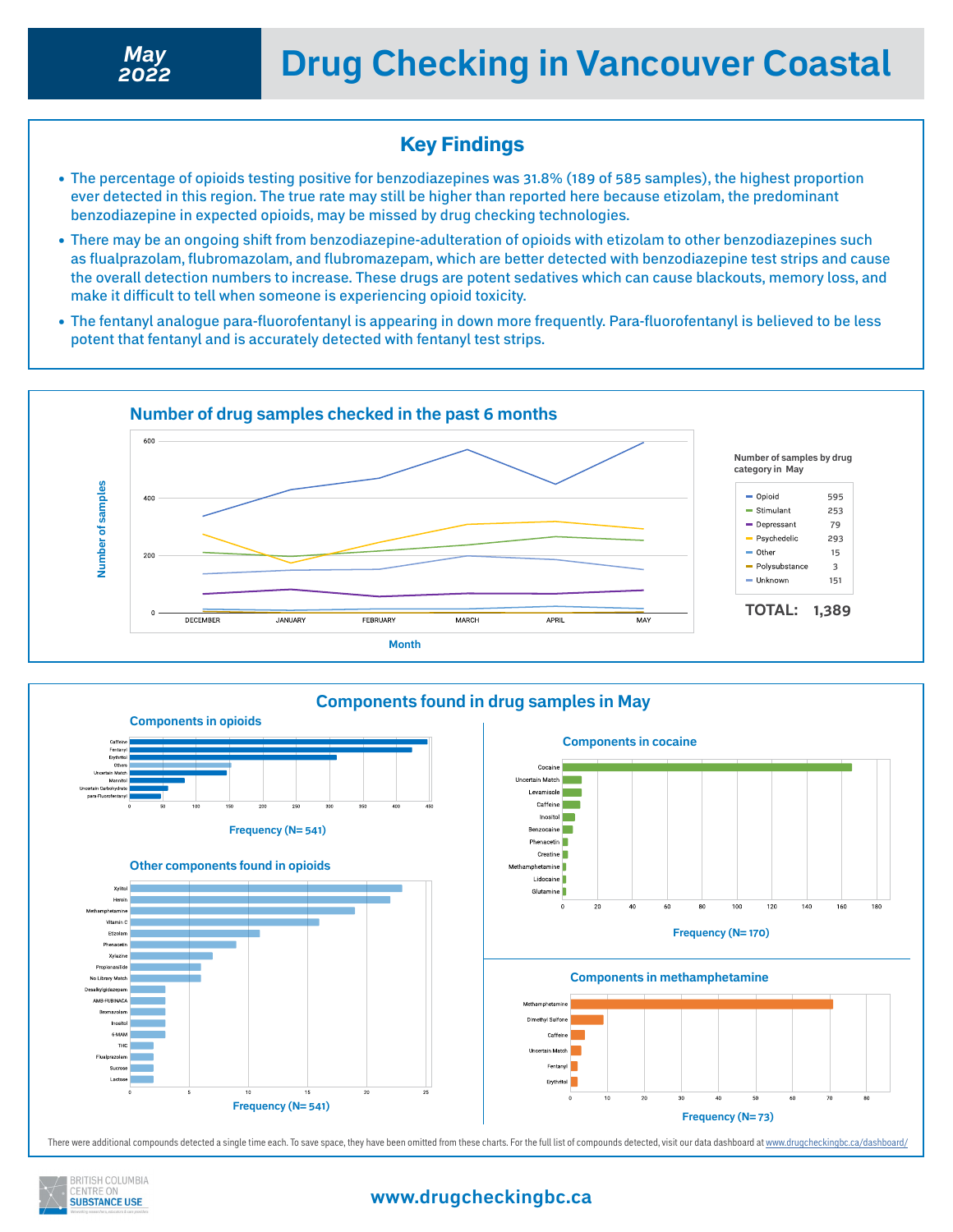## Key Findings

- The percentage of opioids testing positive for benzodiazepines was 31.8% (189 of 585 samples), the highest proportion ever detected in this region. The true rate may still be higher than reported here because etizolam, the predominant benzodiazepine in expected opioids, may be missed by drug checking technologies.
- There may be an ongoing shift from benzodiazepine-adulteration of opioids with etizolam to other benzodiazepines such as flualprazolam, flubromazolam, and flubromazepam, which are better detected with benzodiazepine test strips and cause the overall detection numbers to increase. These drugs are potent sedatives which can cause blackouts, memory loss, and make it difficult to tell when someone is experiencing opioid toxicity.
- The fentanyl analogue para-fluorofentanyl is appearing in down more frequently. Para-fluorofentanyl is believed to be less potent that fentanyl and is accurately detected with fentanyl test strips.





There were additional compounds detected a single time each. To save space, they have been omitted from these charts. For the full list of compounds detected, visit our data dashboard at<www.drugcheckingbc.ca/dashboard/>



### **www.drugcheckingbc.ca**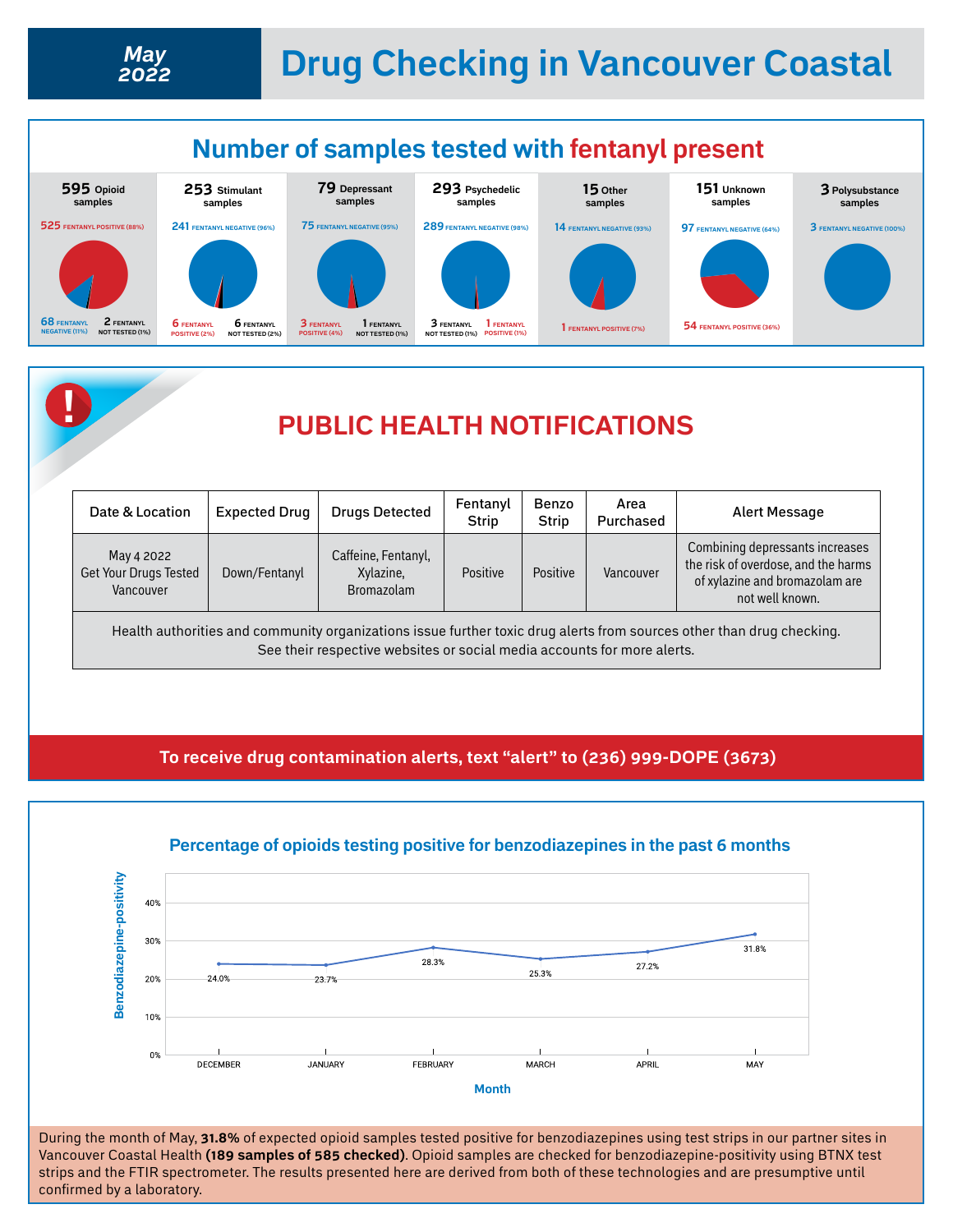# **Drug Checking in Vancouver Coastal** *May*





| Date & Location                                                                                                                                                                                  | <b>Expected Drug</b> | <b>Drugs Detected</b>                          | Fentanyl<br><b>Strip</b> | Benzo<br><b>Strip</b> | Area<br>Purchased | Alert Message                                                                                                               |
|--------------------------------------------------------------------------------------------------------------------------------------------------------------------------------------------------|----------------------|------------------------------------------------|--------------------------|-----------------------|-------------------|-----------------------------------------------------------------------------------------------------------------------------|
| May 4 2022<br>Get Your Drugs Tested<br>Vancouver                                                                                                                                                 | Down/Fentanyl        | Caffeine, Fentanyl,<br>Xylazine,<br>Bromazolam | Positive                 | Positive              | Vancouver         | Combining depressants increases<br>the risk of overdose, and the harms<br>of xylazine and bromazolam are<br>not well known. |
| Health authorities and community organizations issue further toxic drug alerts from sources other than drug checking.<br>See their respective websites or social media accounts for more alerts. |                      |                                                |                          |                       |                   |                                                                                                                             |

**To receive drug contamination alerts, text "alert" to (236) 999-DOPE (3673)**



#### **Percentage of opioids testing positive for benzodiazepines in the past 6 months**

During the month of May, **31.8%** of expected opioid samples tested positive for benzodiazepines using test strips in our partner sites in Vancouver Coastal Health **(189 samples of 585 checked)**. Opioid samples are checked for benzodiazepine-positivity using BTNX test strips and the FTIR spectrometer. The results presented here are derived from both of these technologies and are presumptive until confirmed by a laboratory.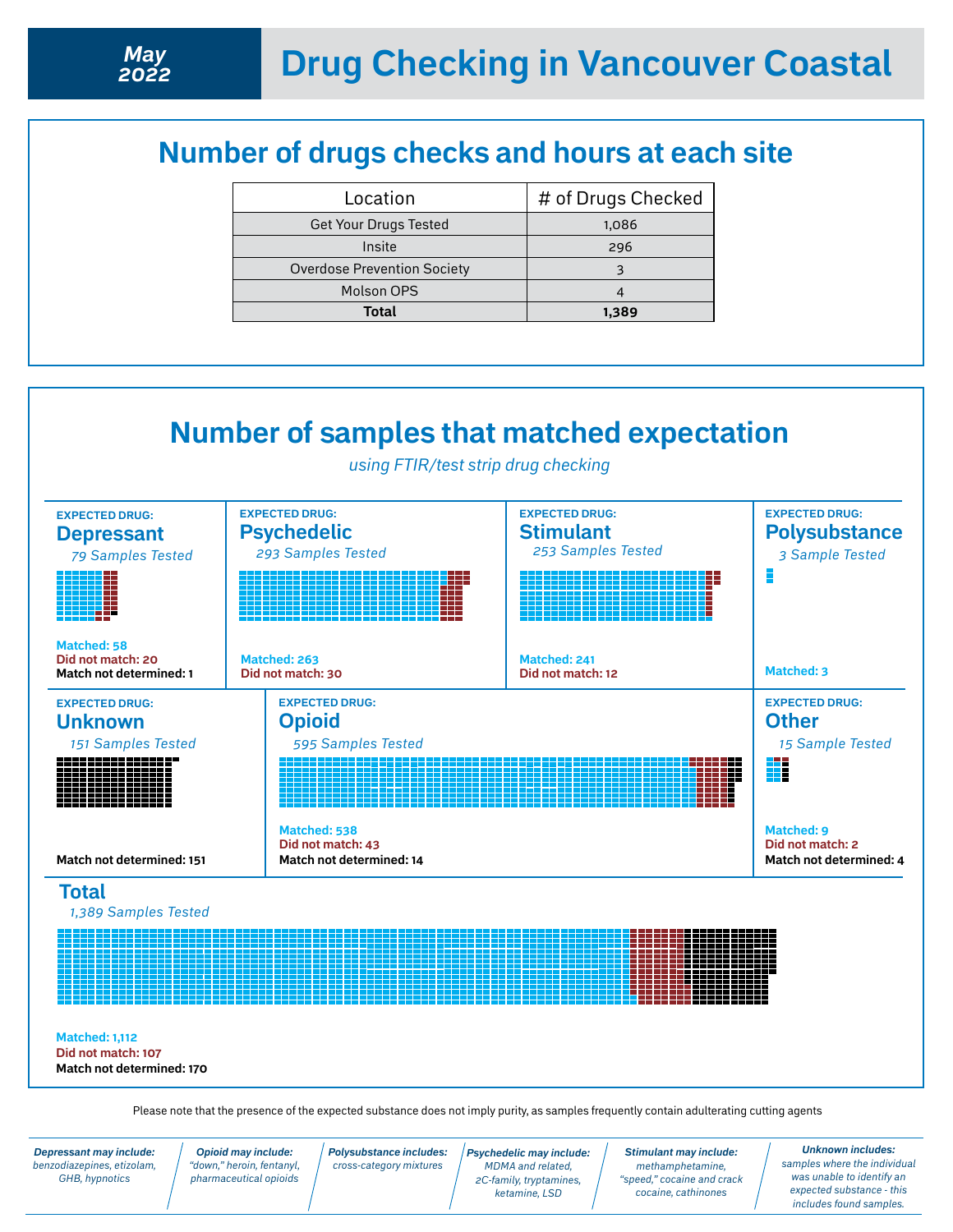# **Number of drugs checks and hours at each site**

| Location                           | # of Drugs Checked |  |  |
|------------------------------------|--------------------|--|--|
| <b>Get Your Drugs Tested</b>       | 1,086              |  |  |
| Insite                             | 296                |  |  |
| <b>Overdose Prevention Society</b> |                    |  |  |
| Molson OPS                         |                    |  |  |
| Total                              | 1,389              |  |  |



*Depressant may include: benzodiazepines, etizolam, GHB, hypnotics*

*Polysubstance includes: cross-category mixtures*

*Psychedelic may include: MDMA and related, 2C-family, tryptamines, ketamine, LSD* 

*Stimulant may include: methamphetamine, "speed," cocaine and crack cocaine, cathinones*

*Unknown includes: samples where the individual was unable to identify an expected substance - this includes found samples.*